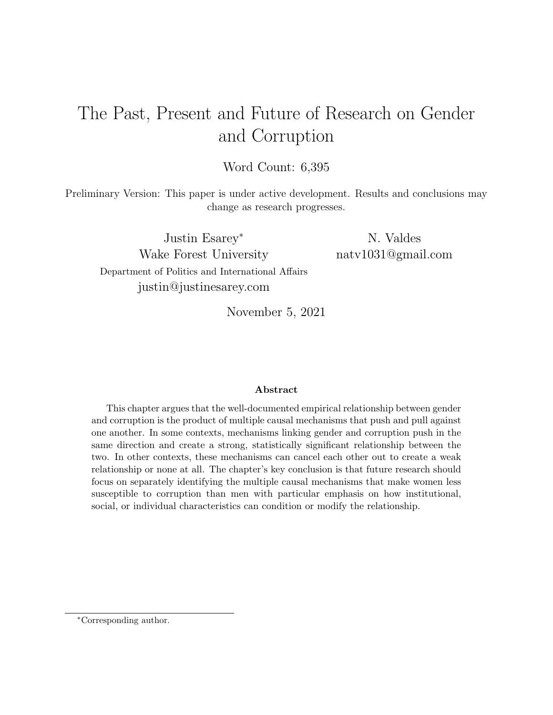# <span id="page-0-0"></span>The Past, Present and Future of Research on Gender and Corruption

Word Count: 6,395

Preliminary Version: This paper is under active development. Results and conclusions may change as research progresses.

Justin Esarey<sup>∗</sup> Wake Forest University Department of Politics and International Affairs justin@justinesarey.com

N. Valdes natv1031@gmail.com

November 5, 2021

#### Abstract

This chapter argues that the well-documented empirical relationship between gender and corruption is the product of multiple causal mechanisms that push and pull against one another. In some contexts, mechanisms linking gender and corruption push in the same direction and create a strong, statistically significant relationship between the two. In other contexts, these mechanisms can cancel each other out to create a weak relationship or none at all. The chapter's key conclusion is that future research should focus on separately identifying the multiple causal mechanisms that make women less susceptible to corruption than men with particular emphasis on how institutional, social, or individual characteristics can condition or modify the relationship.

<sup>∗</sup>Corresponding author.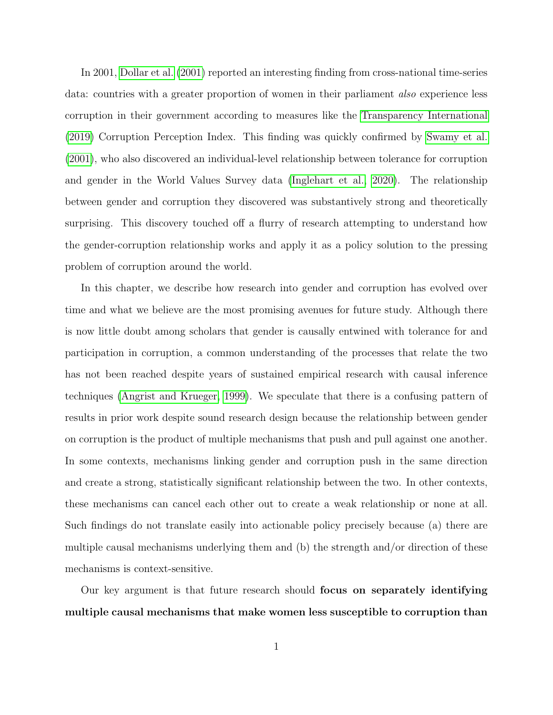In 2001, [Dollar et al.](#page-18-0) [\(2001\)](#page-18-0) reported an interesting finding from cross-national time-series data: countries with a greater proportion of women in their parliament also experience less corruption in their government according to measures like the [Transparency International](#page-20-0) [\(2019\)](#page-20-0) Corruption Perception Index. This finding was quickly confirmed by [Swamy et al.](#page-20-1) [\(2001\)](#page-20-1), who also discovered an individual-level relationship between tolerance for corruption and gender in the World Values Survey data [\(Inglehart et al., 2020\)](#page-19-0). The relationship between gender and corruption they discovered was substantively strong and theoretically surprising. This discovery touched off a flurry of research attempting to understand how the gender-corruption relationship works and apply it as a policy solution to the pressing problem of corruption around the world.

In this chapter, we describe how research into gender and corruption has evolved over time and what we believe are the most promising avenues for future study. Although there is now little doubt among scholars that gender is causally entwined with tolerance for and participation in corruption, a common understanding of the processes that relate the two has not been reached despite years of sustained empirical research with causal inference techniques [\(Angrist and Krueger, 1999\)](#page-17-0). We speculate that there is a confusing pattern of results in prior work despite sound research design because the relationship between gender on corruption is the product of multiple mechanisms that push and pull against one another. In some contexts, mechanisms linking gender and corruption push in the same direction and create a strong, statistically significant relationship between the two. In other contexts, these mechanisms can cancel each other out to create a weak relationship or none at all. Such findings do not translate easily into actionable policy precisely because (a) there are multiple causal mechanisms underlying them and (b) the strength and/or direction of these mechanisms is context-sensitive.

Our key argument is that future research should focus on separately identifying multiple causal mechanisms that make women less susceptible to corruption than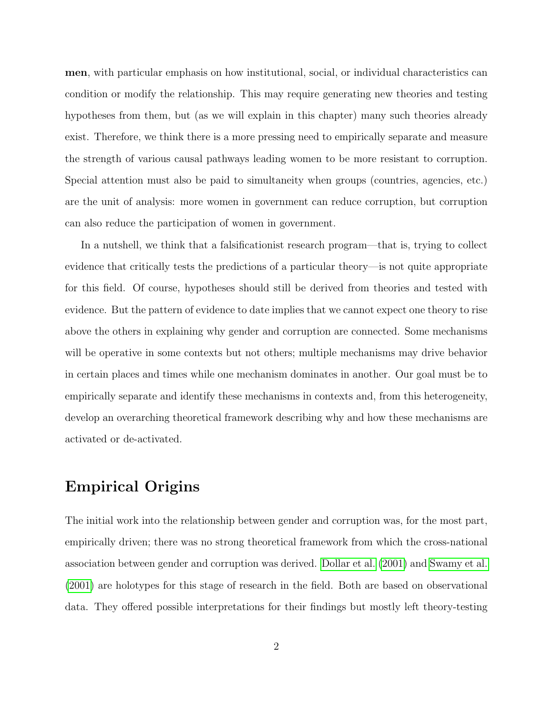men, with particular emphasis on how institutional, social, or individual characteristics can condition or modify the relationship. This may require generating new theories and testing hypotheses from them, but (as we will explain in this chapter) many such theories already exist. Therefore, we think there is a more pressing need to empirically separate and measure the strength of various causal pathways leading women to be more resistant to corruption. Special attention must also be paid to simultaneity when groups (countries, agencies, etc.) are the unit of analysis: more women in government can reduce corruption, but corruption can also reduce the participation of women in government.

In a nutshell, we think that a falsificationist research program—that is, trying to collect evidence that critically tests the predictions of a particular theory—is not quite appropriate for this field. Of course, hypotheses should still be derived from theories and tested with evidence. But the pattern of evidence to date implies that we cannot expect one theory to rise above the others in explaining why gender and corruption are connected. Some mechanisms will be operative in some contexts but not others; multiple mechanisms may drive behavior in certain places and times while one mechanism dominates in another. Our goal must be to empirically separate and identify these mechanisms in contexts and, from this heterogeneity, develop an overarching theoretical framework describing why and how these mechanisms are activated or de-activated.

#### Empirical Origins

The initial work into the relationship between gender and corruption was, for the most part, empirically driven; there was no strong theoretical framework from which the cross-national association between gender and corruption was derived. [Dollar et al.](#page-18-0) [\(2001\)](#page-18-0) and [Swamy et al.](#page-20-1) [\(2001\)](#page-20-1) are holotypes for this stage of research in the field. Both are based on observational data. They offered possible interpretations for their findings but mostly left theory-testing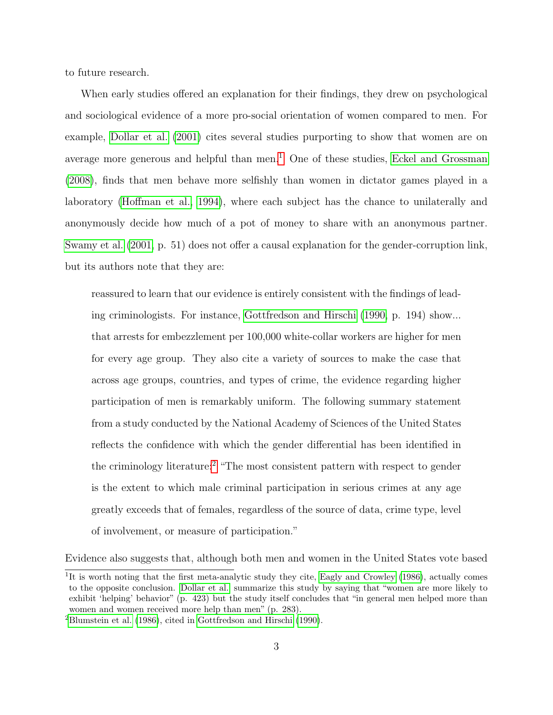to future research.

When early studies offered an explanation for their findings, they drew on psychological and sociological evidence of a more pro-social orientation of women compared to men. For example, [Dollar et al.](#page-18-0) [\(2001\)](#page-18-0) cites several studies purporting to show that women are on average more generous and helpful than men.<sup>[1](#page-0-0)</sup> One of these studies, [Eckel and Grossman](#page-18-1) [\(2008\)](#page-18-1), finds that men behave more selfishly than women in dictator games played in a laboratory [\(Hoffman et al., 1994\)](#page-19-1), where each subject has the chance to unilaterally and anonymously decide how much of a pot of money to share with an anonymous partner. [Swamy et al.](#page-20-1) [\(2001,](#page-20-1) p. 51) does not offer a causal explanation for the gender-corruption link, but its authors note that they are:

reassured to learn that our evidence is entirely consistent with the findings of leading criminologists. For instance, [Gottfredson and Hirschi](#page-19-2) [\(1990,](#page-19-2) p. 194) show... that arrests for embezzlement per 100,000 white-collar workers are higher for men for every age group. They also cite a variety of sources to make the case that across age groups, countries, and types of crime, the evidence regarding higher participation of men is remarkably uniform. The following summary statement from a study conducted by the National Academy of Sciences of the United States reflects the confidence with which the gender differential has been identified in the criminology literature:[2](#page-0-0) "The most consistent pattern with respect to gender is the extent to which male criminal participation in serious crimes at any age greatly exceeds that of females, regardless of the source of data, crime type, level of involvement, or measure of participation."

Evidence also suggests that, although both men and women in the United States vote based

<sup>&</sup>lt;sup>1</sup>It is worth noting that the first meta-analytic study they cite, [Eagly and Crowley](#page-18-2) [\(1986\)](#page-18-2), actually comes to the opposite conclusion. [Dollar et al.](#page-18-0) summarize this study by saying that "women are more likely to exhibit 'helping' behavior" (p. 423) but the study itself concludes that "in general men helped more than women and women received more help than men" (p. 283).

<sup>2</sup>[Blumstein et al.](#page-17-1) [\(1986\)](#page-17-1), cited in [Gottfredson and Hirschi](#page-19-2) [\(1990\)](#page-19-2).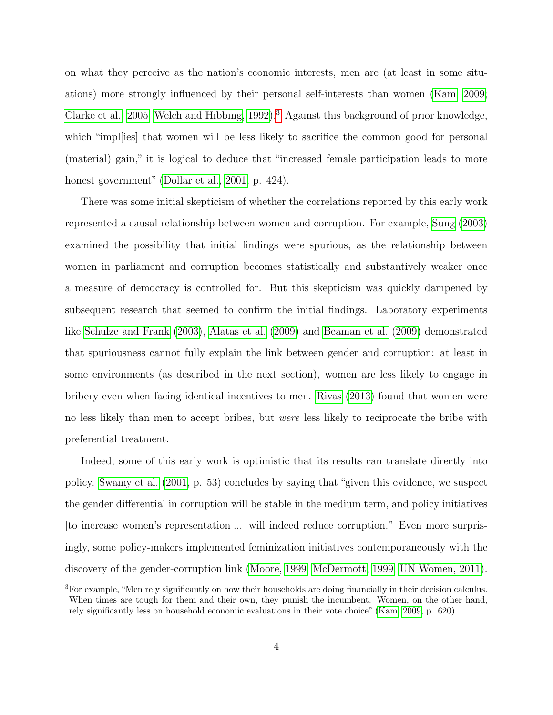on what they perceive as the nation's economic interests, men are (at least in some situations) more strongly influenced by their personal self-interests than women [\(Kam, 2009;](#page-19-3) [Clarke et al., 2005;](#page-18-3) [Welch and Hibbing, 1992\)](#page-21-0).<sup>[3](#page-0-0)</sup> Against this background of prior knowledge, which "impl[ies] that women will be less likely to sacrifice the common good for personal (material) gain," it is logical to deduce that "increased female participation leads to more honest government" [\(Dollar et al., 2001,](#page-18-0) p. 424).

There was some initial skepticism of whether the correlations reported by this early work represented a causal relationship between women and corruption. For example, [Sung](#page-20-2) [\(2003\)](#page-20-2) examined the possibility that initial findings were spurious, as the relationship between women in parliament and corruption becomes statistically and substantively weaker once a measure of democracy is controlled for. But this skepticism was quickly dampened by subsequent research that seemed to confirm the initial findings. Laboratory experiments like [Schulze and Frank](#page-20-3) [\(2003\)](#page-20-3), [Alatas et al.](#page-17-2) [\(2009\)](#page-17-2) and [Beaman et al.](#page-17-3) [\(2009\)](#page-17-3) demonstrated that spuriousness cannot fully explain the link between gender and corruption: at least in some environments (as described in the next section), women are less likely to engage in bribery even when facing identical incentives to men. [Rivas](#page-20-4) [\(2013\)](#page-20-4) found that women were no less likely than men to accept bribes, but were less likely to reciprocate the bribe with preferential treatment.

Indeed, some of this early work is optimistic that its results can translate directly into policy. [Swamy et al.](#page-20-1) [\(2001,](#page-20-1) p. 53) concludes by saying that "given this evidence, we suspect the gender differential in corruption will be stable in the medium term, and policy initiatives [to increase women's representation]... will indeed reduce corruption." Even more surprisingly, some policy-makers implemented feminization initiatives contemporaneously with the discovery of the gender-corruption link [\(Moore, 1999;](#page-19-4) [McDermott, 1999;](#page-19-5) [UN Women, 2011\)](#page-21-1).

<sup>&</sup>lt;sup>3</sup>For example, "Men rely significantly on how their households are doing financially in their decision calculus. When times are tough for them and their own, they punish the incumbent. Women, on the other hand, rely significantly less on household economic evaluations in their vote choice" [\(Kam, 2009,](#page-19-3) p. 620)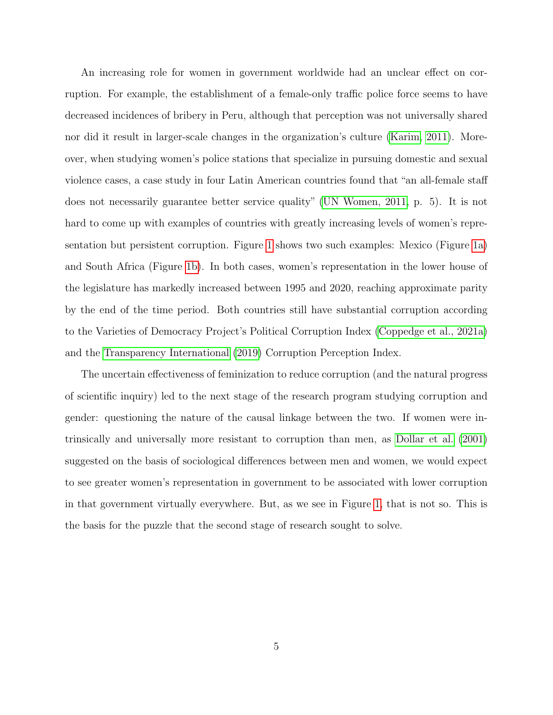An increasing role for women in government worldwide had an unclear effect on corruption. For example, the establishment of a female-only traffic police force seems to have decreased incidences of bribery in Peru, although that perception was not universally shared nor did it result in larger-scale changes in the organization's culture [\(Karim, 2011\)](#page-19-6). Moreover, when studying women's police stations that specialize in pursuing domestic and sexual violence cases, a case study in four Latin American countries found that "an all-female staff does not necessarily guarantee better service quality" [\(UN Women, 2011,](#page-21-1) p. 5). It is not hard to come up with examples of countries with greatly increasing levels of women's representation but persistent corruption. Figure [1](#page-6-0) shows two such examples: Mexico (Figure [1a\)](#page-6-0) and South Africa (Figure [1b\)](#page-6-0). In both cases, women's representation in the lower house of the legislature has markedly increased between 1995 and 2020, reaching approximate parity by the end of the time period. Both countries still have substantial corruption according to the Varieties of Democracy Project's Political Corruption Index [\(Coppedge et al., 2021a\)](#page-18-4) and the [Transparency International](#page-20-0) [\(2019\)](#page-20-0) Corruption Perception Index.

The uncertain effectiveness of feminization to reduce corruption (and the natural progress of scientific inquiry) led to the next stage of the research program studying corruption and gender: questioning the nature of the causal linkage between the two. If women were intrinsically and universally more resistant to corruption than men, as [Dollar et al.](#page-18-0) [\(2001\)](#page-18-0) suggested on the basis of sociological differences between men and women, we would expect to see greater women's representation in government to be associated with lower corruption in that government virtually everywhere. But, as we see in Figure [1,](#page-6-0) that is not so. This is the basis for the puzzle that the second stage of research sought to solve.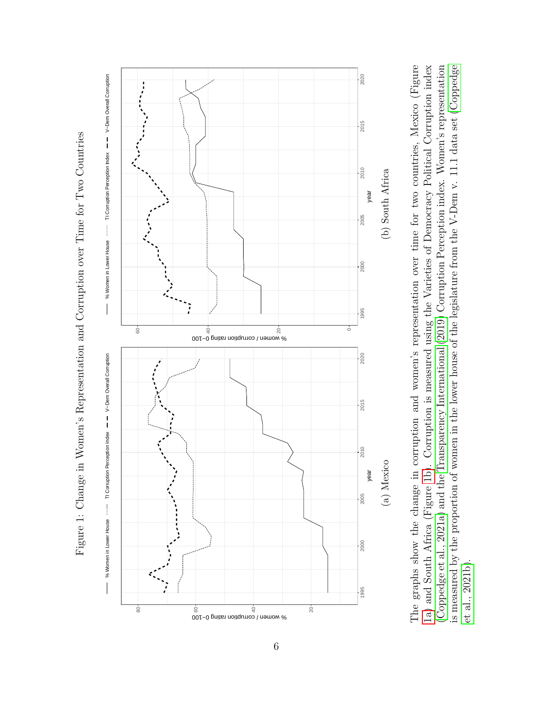

<span id="page-6-0"></span>

The graphs show the change in corruption and women's representation over time for two countries, Mexico (Figure 1a) and South Africa (Figure 1b). Corruption is measured using the Varieties of Democracy Political Corruption index (Coppedge et al., 2021a) and the Transparency International (2019) Corruption Perception index. Women's representation is measured by the proportion of women in the lower house of the legislature from the V-Dem v. 11.1 data set (Coppedge The graphs show the change in corruption and women's representation over time for two countries, Mexico (Figure [1a\)](#page-6-0) and South Africa (Figure [1b\)](#page-6-0). Corruption is measured using the Varieties of Democracy Political Corruptio is measured by the proportion of women in the lower house of the legislature from the V-Dem v. 11.1 data set ([Coppedge](#page-18-5)  $et$  al.,  $2021b$ ). et al., [2021b\)](#page-18-5).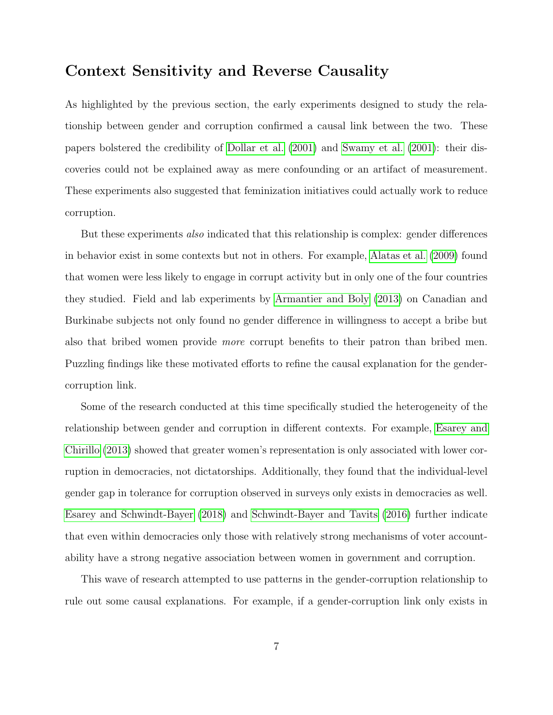#### Context Sensitivity and Reverse Causality

As highlighted by the previous section, the early experiments designed to study the relationship between gender and corruption confirmed a causal link between the two. These papers bolstered the credibility of [Dollar et al.](#page-18-0) [\(2001\)](#page-18-0) and [Swamy et al.](#page-20-1) [\(2001\)](#page-20-1): their discoveries could not be explained away as mere confounding or an artifact of measurement. These experiments also suggested that feminization initiatives could actually work to reduce corruption.

But these experiments also indicated that this relationship is complex: gender differences in behavior exist in some contexts but not in others. For example, [Alatas et al.](#page-17-2) [\(2009\)](#page-17-2) found that women were less likely to engage in corrupt activity but in only one of the four countries they studied. Field and lab experiments by [Armantier and Boly](#page-17-4) [\(2013\)](#page-17-4) on Canadian and Burkinabe subjects not only found no gender difference in willingness to accept a bribe but also that bribed women provide more corrupt benefits to their patron than bribed men. Puzzling findings like these motivated efforts to refine the causal explanation for the gendercorruption link.

Some of the research conducted at this time specifically studied the heterogeneity of the relationship between gender and corruption in different contexts. For example, [Esarey and](#page-18-6) [Chirillo](#page-18-6) [\(2013\)](#page-18-6) showed that greater women's representation is only associated with lower corruption in democracies, not dictatorships. Additionally, they found that the individual-level gender gap in tolerance for corruption observed in surveys only exists in democracies as well. [Esarey and Schwindt-Bayer](#page-18-7) [\(2018\)](#page-18-7) and [Schwindt-Bayer and Tavits](#page-20-5) [\(2016\)](#page-20-5) further indicate that even within democracies only those with relatively strong mechanisms of voter accountability have a strong negative association between women in government and corruption.

This wave of research attempted to use patterns in the gender-corruption relationship to rule out some causal explanations. For example, if a gender-corruption link only exists in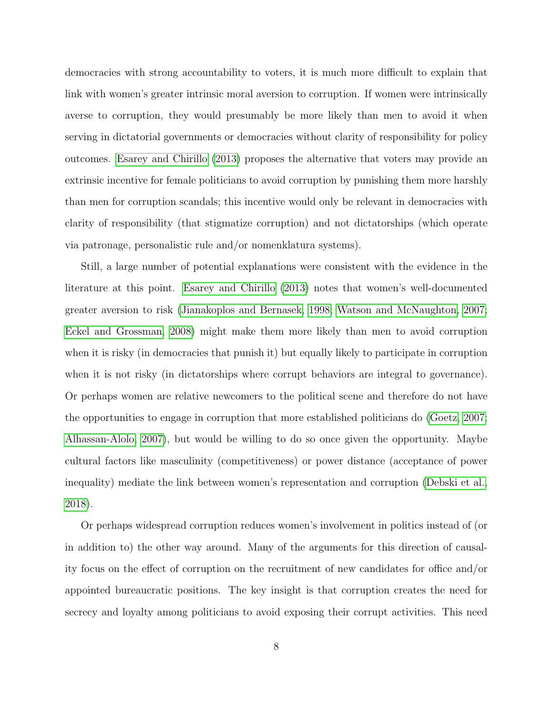democracies with strong accountability to voters, it is much more difficult to explain that link with women's greater intrinsic moral aversion to corruption. If women were intrinsically averse to corruption, they would presumably be more likely than men to avoid it when serving in dictatorial governments or democracies without clarity of responsibility for policy outcomes. [Esarey and Chirillo](#page-18-6) [\(2013\)](#page-18-6) proposes the alternative that voters may provide an extrinsic incentive for female politicians to avoid corruption by punishing them more harshly than men for corruption scandals; this incentive would only be relevant in democracies with clarity of responsibility (that stigmatize corruption) and not dictatorships (which operate via patronage, personalistic rule and/or nomenklatura systems).

Still, a large number of potential explanations were consistent with the evidence in the literature at this point. [Esarey and Chirillo](#page-18-6) [\(2013\)](#page-18-6) notes that women's well-documented greater aversion to risk [\(Jianakoplos and Bernasek, 1998;](#page-19-7) [Watson and McNaughton, 2007;](#page-21-2) [Eckel and Grossman, 2008\)](#page-18-1) might make them more likely than men to avoid corruption when it is risky (in democracies that punish it) but equally likely to participate in corruption when it is not risky (in dictatorships where corrupt behaviors are integral to governance). Or perhaps women are relative newcomers to the political scene and therefore do not have the opportunities to engage in corruption that more established politicians do [\(Goetz, 2007;](#page-19-8) [Alhassan-Alolo, 2007\)](#page-17-5), but would be willing to do so once given the opportunity. Maybe cultural factors like masculinity (competitiveness) or power distance (acceptance of power inequality) mediate the link between women's representation and corruption [\(Debski et al.,](#page-18-8) [2018\)](#page-18-8).

Or perhaps widespread corruption reduces women's involvement in politics instead of (or in addition to) the other way around. Many of the arguments for this direction of causality focus on the effect of corruption on the recruitment of new candidates for office and/or appointed bureaucratic positions. The key insight is that corruption creates the need for secrecy and loyalty among politicians to avoid exposing their corrupt activities. This need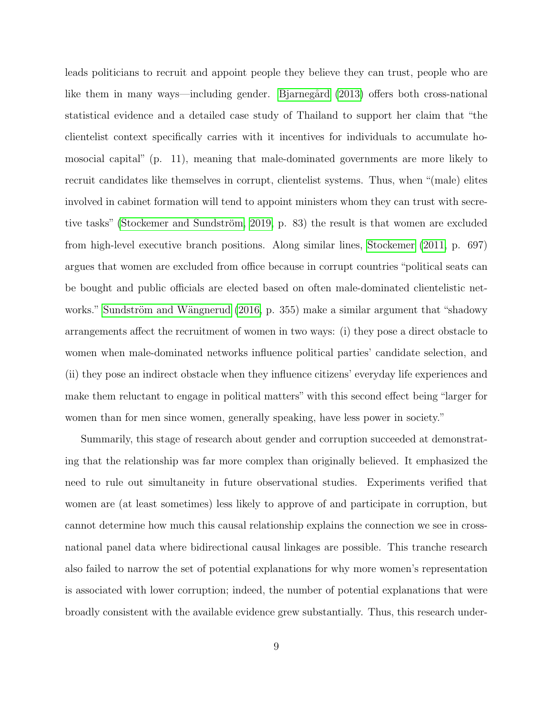leads politicians to recruit and appoint people they believe they can trust, people who are like them in many ways—including gender. Bjarnegård [\(2013\)](#page-17-6) offers both cross-national statistical evidence and a detailed case study of Thailand to support her claim that "the clientelist context specifically carries with it incentives for individuals to accumulate homosocial capital" (p. 11), meaning that male-dominated governments are more likely to recruit candidates like themselves in corrupt, clientelist systems. Thus, when "(male) elites involved in cabinet formation will tend to appoint ministers whom they can trust with secretive tasks" (Stockemer and Sundström, 2019, p. 83) the result is that women are excluded from high-level executive branch positions. Along similar lines, [Stockemer](#page-20-7) [\(2011,](#page-20-7) p. 697) argues that women are excluded from office because in corrupt countries "political seats can be bought and public officials are elected based on often male-dominated clientelistic net-works." Sundström and Wängnerud [\(2016,](#page-20-8) p. 355) make a similar argument that "shadowy arrangements affect the recruitment of women in two ways: (i) they pose a direct obstacle to women when male-dominated networks influence political parties' candidate selection, and (ii) they pose an indirect obstacle when they influence citizens' everyday life experiences and make them reluctant to engage in political matters" with this second effect being "larger for women than for men since women, generally speaking, have less power in society."

Summarily, this stage of research about gender and corruption succeeded at demonstrating that the relationship was far more complex than originally believed. It emphasized the need to rule out simultaneity in future observational studies. Experiments verified that women are (at least sometimes) less likely to approve of and participate in corruption, but cannot determine how much this causal relationship explains the connection we see in crossnational panel data where bidirectional causal linkages are possible. This tranche research also failed to narrow the set of potential explanations for why more women's representation is associated with lower corruption; indeed, the number of potential explanations that were broadly consistent with the available evidence grew substantially. Thus, this research under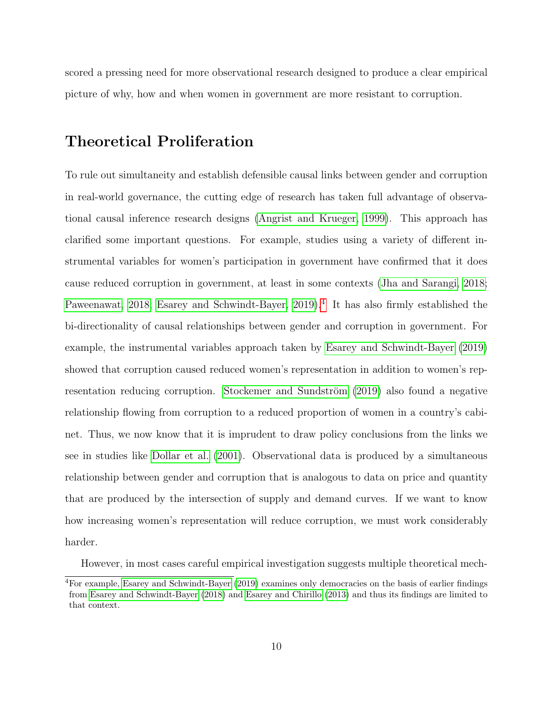scored a pressing need for more observational research designed to produce a clear empirical picture of why, how and when women in government are more resistant to corruption.

### Theoretical Proliferation

To rule out simultaneity and establish defensible causal links between gender and corruption in real-world governance, the cutting edge of research has taken full advantage of observational causal inference research designs [\(Angrist and Krueger, 1999\)](#page-17-0). This approach has clarified some important questions. For example, studies using a variety of different instrumental variables for women's participation in government have confirmed that it does cause reduced corruption in government, at least in some contexts [\(Jha and Sarangi, 2018;](#page-19-9) [Paweenawat, 2018;](#page-20-9) [Esarey and Schwindt-Bayer, 2019\)](#page-19-10).<sup>[4](#page-0-0)</sup> It has also firmly established the bi-directionality of causal relationships between gender and corruption in government. For example, the instrumental variables approach taken by [Esarey and Schwindt-Bayer](#page-19-10) [\(2019\)](#page-19-10) showed that corruption caused reduced women's representation in addition to women's rep-resentation reducing corruption. Stockemer and Sundström [\(2019\)](#page-20-6) also found a negative relationship flowing from corruption to a reduced proportion of women in a country's cabinet. Thus, we now know that it is imprudent to draw policy conclusions from the links we see in studies like [Dollar et al.](#page-18-0) [\(2001\)](#page-18-0). Observational data is produced by a simultaneous relationship between gender and corruption that is analogous to data on price and quantity that are produced by the intersection of supply and demand curves. If we want to know how increasing women's representation will reduce corruption, we must work considerably harder.

However, in most cases careful empirical investigation suggests multiple theoretical mech-

<sup>4</sup>For example, [Esarey and Schwindt-Bayer](#page-19-10) [\(2019\)](#page-19-10) examines only democracies on the basis of earlier findings from [Esarey and Schwindt-Bayer](#page-18-7) [\(2018\)](#page-18-7) and [Esarey and Chirillo](#page-18-6) [\(2013\)](#page-18-6) and thus its findings are limited to that context.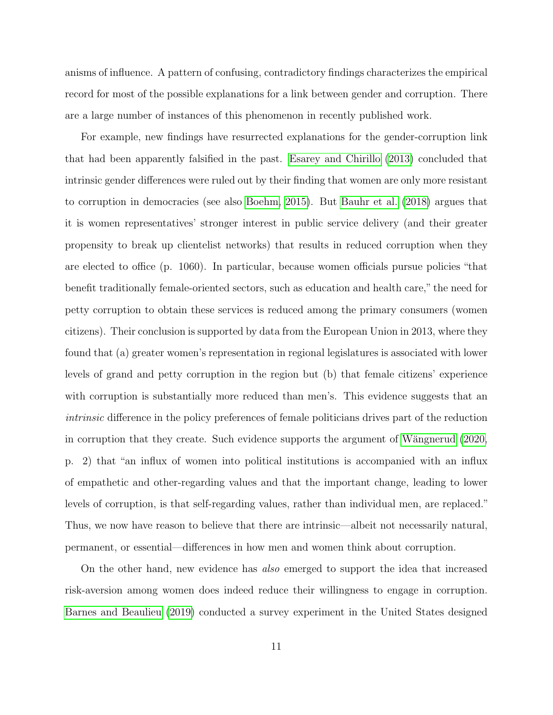anisms of influence. A pattern of confusing, contradictory findings characterizes the empirical record for most of the possible explanations for a link between gender and corruption. There are a large number of instances of this phenomenon in recently published work.

For example, new findings have resurrected explanations for the gender-corruption link that had been apparently falsified in the past. [Esarey and Chirillo](#page-18-6) [\(2013\)](#page-18-6) concluded that intrinsic gender differences were ruled out by their finding that women are only more resistant to corruption in democracies (see also [Boehm, 2015\)](#page-18-9). But [Bauhr et al.](#page-17-7) [\(2018\)](#page-17-7) argues that it is women representatives' stronger interest in public service delivery (and their greater propensity to break up clientelist networks) that results in reduced corruption when they are elected to office (p. 1060). In particular, because women officials pursue policies "that benefit traditionally female-oriented sectors, such as education and health care," the need for petty corruption to obtain these services is reduced among the primary consumers (women citizens). Their conclusion is supported by data from the European Union in 2013, where they found that (a) greater women's representation in regional legislatures is associated with lower levels of grand and petty corruption in the region but (b) that female citizens' experience with corruption is substantially more reduced than men's. This evidence suggests that an intrinsic difference in the policy preferences of female politicians drives part of the reduction in corruption that they create. Such evidence supports the argument of Wängnerud [\(2020,](#page-21-3) p. 2) that "an influx of women into political institutions is accompanied with an influx of empathetic and other-regarding values and that the important change, leading to lower levels of corruption, is that self-regarding values, rather than individual men, are replaced." Thus, we now have reason to believe that there are intrinsic—albeit not necessarily natural, permanent, or essential—differences in how men and women think about corruption.

On the other hand, new evidence has also emerged to support the idea that increased risk-aversion among women does indeed reduce their willingness to engage in corruption. [Barnes and Beaulieu](#page-17-8) [\(2019\)](#page-17-8) conducted a survey experiment in the United States designed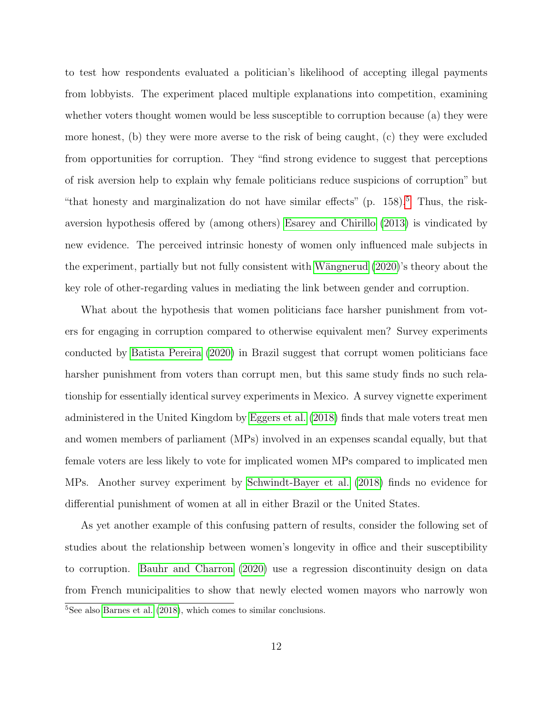to test how respondents evaluated a politician's likelihood of accepting illegal payments from lobbyists. The experiment placed multiple explanations into competition, examining whether voters thought women would be less susceptible to corruption because (a) they were more honest, (b) they were more averse to the risk of being caught, (c) they were excluded from opportunities for corruption. They "find strong evidence to suggest that perceptions of risk aversion help to explain why female politicians reduce suspicions of corruption" but "that honesty and marginalization do not have similar effects"  $(p. 158)^5$  $(p. 158)^5$  $(p. 158)^5$ . Thus, the riskaversion hypothesis offered by (among others) [Esarey and Chirillo](#page-18-6) [\(2013\)](#page-18-6) is vindicated by new evidence. The perceived intrinsic honesty of women only influenced male subjects in the experiment, partially but not fully consistent with Wängnerud [\(2020\)](#page-21-3)'s theory about the key role of other-regarding values in mediating the link between gender and corruption.

What about the hypothesis that women politicians face harsher punishment from voters for engaging in corruption compared to otherwise equivalent men? Survey experiments conducted by [Batista Pereira](#page-17-9) [\(2020\)](#page-17-9) in Brazil suggest that corrupt women politicians face harsher punishment from voters than corrupt men, but this same study finds no such relationship for essentially identical survey experiments in Mexico. A survey vignette experiment administered in the United Kingdom by [Eggers et al.](#page-18-10) [\(2018\)](#page-18-10) finds that male voters treat men and women members of parliament (MPs) involved in an expenses scandal equally, but that female voters are less likely to vote for implicated women MPs compared to implicated men MPs. Another survey experiment by [Schwindt-Bayer et al.](#page-20-10) [\(2018\)](#page-20-10) finds no evidence for differential punishment of women at all in either Brazil or the United States.

As yet another example of this confusing pattern of results, consider the following set of studies about the relationship between women's longevity in office and their susceptibility to corruption. [Bauhr and Charron](#page-17-10) [\(2020\)](#page-17-10) use a regression discontinuity design on data from French municipalities to show that newly elected women mayors who narrowly won

<sup>5</sup>See also [Barnes et al.](#page-17-11) [\(2018\)](#page-17-11), which comes to similar conclusions.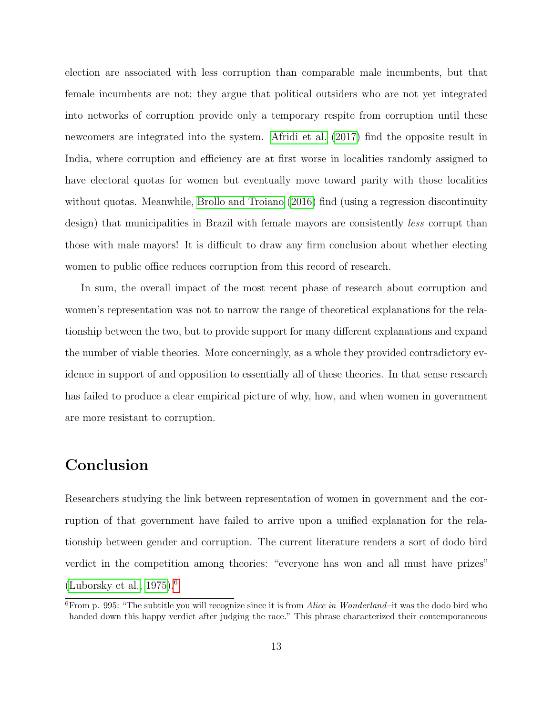election are associated with less corruption than comparable male incumbents, but that female incumbents are not; they argue that political outsiders who are not yet integrated into networks of corruption provide only a temporary respite from corruption until these newcomers are integrated into the system. [Afridi et al.](#page-17-12) [\(2017\)](#page-17-12) find the opposite result in India, where corruption and efficiency are at first worse in localities randomly assigned to have electoral quotas for women but eventually move toward parity with those localities without quotas. Meanwhile, [Brollo and Troiano](#page-18-11) [\(2016\)](#page-18-11) find (using a regression discontinuity design) that municipalities in Brazil with female mayors are consistently *less* corrupt than those with male mayors! It is difficult to draw any firm conclusion about whether electing women to public office reduces corruption from this record of research.

In sum, the overall impact of the most recent phase of research about corruption and women's representation was not to narrow the range of theoretical explanations for the relationship between the two, but to provide support for many different explanations and expand the number of viable theories. More concerningly, as a whole they provided contradictory evidence in support of and opposition to essentially all of these theories. In that sense research has failed to produce a clear empirical picture of why, how, and when women in government are more resistant to corruption.

## Conclusion

Researchers studying the link between representation of women in government and the corruption of that government have failed to arrive upon a unified explanation for the relationship between gender and corruption. The current literature renders a sort of dodo bird verdict in the competition among theories: "everyone has won and all must have prizes" (Luborsky et al.,  $1975$ ).<sup>[6](#page-0-0)</sup>

<sup>&</sup>lt;sup>6</sup>From p. 995: "The subtitle you will recognize since it is from *Alice in Wonderland*–it was the dodo bird who handed down this happy verdict after judging the race." This phrase characterized their contemporaneous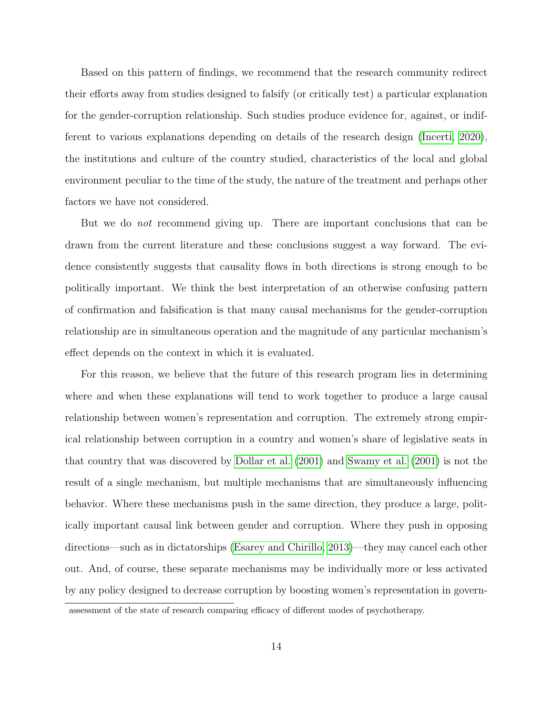Based on this pattern of findings, we recommend that the research community redirect their efforts away from studies designed to falsify (or critically test) a particular explanation for the gender-corruption relationship. Such studies produce evidence for, against, or indifferent to various explanations depending on details of the research design [\(Incerti, 2020\)](#page-19-12), the institutions and culture of the country studied, characteristics of the local and global environment peculiar to the time of the study, the nature of the treatment and perhaps other factors we have not considered.

But we do *not* recommend giving up. There are important conclusions that can be drawn from the current literature and these conclusions suggest a way forward. The evidence consistently suggests that causality flows in both directions is strong enough to be politically important. We think the best interpretation of an otherwise confusing pattern of confirmation and falsification is that many causal mechanisms for the gender-corruption relationship are in simultaneous operation and the magnitude of any particular mechanism's effect depends on the context in which it is evaluated.

For this reason, we believe that the future of this research program lies in determining where and when these explanations will tend to work together to produce a large causal relationship between women's representation and corruption. The extremely strong empirical relationship between corruption in a country and women's share of legislative seats in that country that was discovered by [Dollar et al.](#page-18-0) [\(2001\)](#page-18-0) and [Swamy et al.](#page-20-1) [\(2001\)](#page-20-1) is not the result of a single mechanism, but multiple mechanisms that are simultaneously influencing behavior. Where these mechanisms push in the same direction, they produce a large, politically important causal link between gender and corruption. Where they push in opposing directions—such as in dictatorships [\(Esarey and Chirillo, 2013\)](#page-18-6)—they may cancel each other out. And, of course, these separate mechanisms may be individually more or less activated by any policy designed to decrease corruption by boosting women's representation in govern-

assessment of the state of research comparing efficacy of different modes of psychotherapy.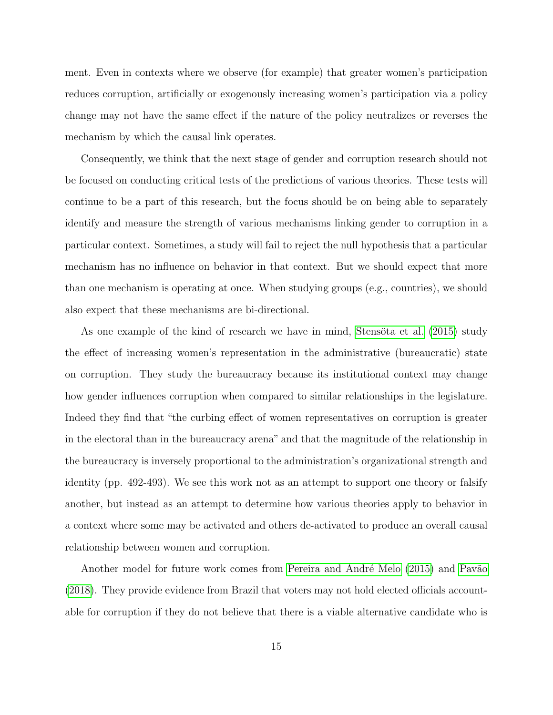ment. Even in contexts where we observe (for example) that greater women's participation reduces corruption, artificially or exogenously increasing women's participation via a policy change may not have the same effect if the nature of the policy neutralizes or reverses the mechanism by which the causal link operates.

Consequently, we think that the next stage of gender and corruption research should not be focused on conducting critical tests of the predictions of various theories. These tests will continue to be a part of this research, but the focus should be on being able to separately identify and measure the strength of various mechanisms linking gender to corruption in a particular context. Sometimes, a study will fail to reject the null hypothesis that a particular mechanism has no influence on behavior in that context. But we should expect that more than one mechanism is operating at once. When studying groups (e.g., countries), we should also expect that these mechanisms are bi-directional.

As one example of the kind of research we have in mind, Stensöta et al. [\(2015\)](#page-20-11) study the effect of increasing women's representation in the administrative (bureaucratic) state on corruption. They study the bureaucracy because its institutional context may change how gender influences corruption when compared to similar relationships in the legislature. Indeed they find that "the curbing effect of women representatives on corruption is greater in the electoral than in the bureaucracy arena" and that the magnitude of the relationship in the bureaucracy is inversely proportional to the administration's organizational strength and identity (pp. 492-493). We see this work not as an attempt to support one theory or falsify another, but instead as an attempt to determine how various theories apply to behavior in a context where some may be activated and others de-activated to produce an overall causal relationship between women and corruption.

Another model for future work comes from Pereira and André Melo [\(2015\)](#page-20-12) and Pavão [\(2018\)](#page-20-13). They provide evidence from Brazil that voters may not hold elected officials accountable for corruption if they do not believe that there is a viable alternative candidate who is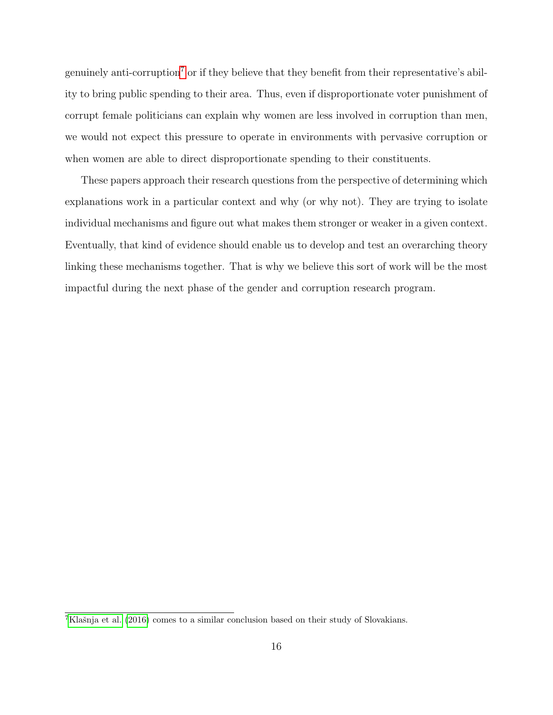genuinely anti-corruption<sup>[7](#page-0-0)</sup> or if they believe that they benefit from their representative's ability to bring public spending to their area. Thus, even if disproportionate voter punishment of corrupt female politicians can explain why women are less involved in corruption than men, we would not expect this pressure to operate in environments with pervasive corruption or when women are able to direct disproportionate spending to their constituents.

These papers approach their research questions from the perspective of determining which explanations work in a particular context and why (or why not). They are trying to isolate individual mechanisms and figure out what makes them stronger or weaker in a given context. Eventually, that kind of evidence should enable us to develop and test an overarching theory linking these mechanisms together. That is why we believe this sort of work will be the most impactful during the next phase of the gender and corruption research program.

 ${}^{7}$ Klašnja et al. [\(2016\)](#page-19-13) comes to a similar conclusion based on their study of Slovakians.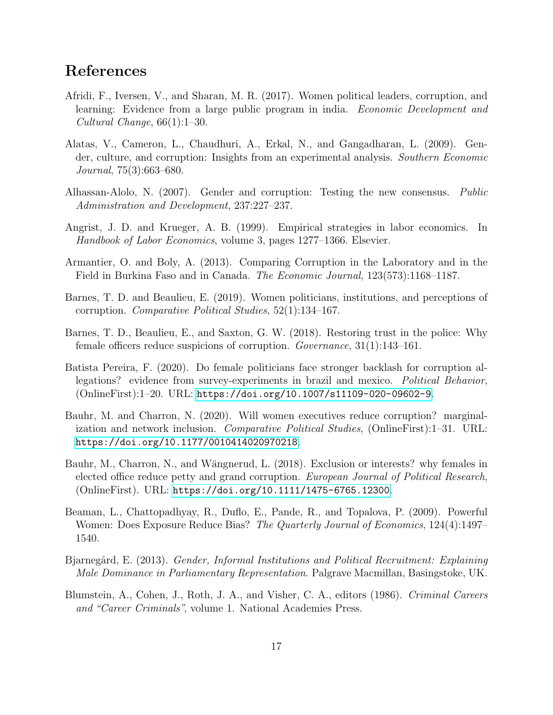# References

- <span id="page-17-12"></span>Afridi, F., Iversen, V., and Sharan, M. R. (2017). Women political leaders, corruption, and learning: Evidence from a large public program in india. Economic Development and Cultural Change, 66(1):1–30.
- <span id="page-17-2"></span>Alatas, V., Cameron, L., Chaudhuri, A., Erkal, N., and Gangadharan, L. (2009). Gender, culture, and corruption: Insights from an experimental analysis. Southern Economic Journal, 75(3):663–680.
- <span id="page-17-5"></span>Alhassan-Alolo, N. (2007). Gender and corruption: Testing the new consensus. Public Administration and Development, 237:227–237.
- <span id="page-17-0"></span>Angrist, J. D. and Krueger, A. B. (1999). Empirical strategies in labor economics. In Handbook of Labor Economics, volume 3, pages 1277–1366. Elsevier.
- <span id="page-17-4"></span>Armantier, O. and Boly, A. (2013). Comparing Corruption in the Laboratory and in the Field in Burkina Faso and in Canada. The Economic Journal, 123(573):1168–1187.
- <span id="page-17-8"></span>Barnes, T. D. and Beaulieu, E. (2019). Women politicians, institutions, and perceptions of corruption. Comparative Political Studies, 52(1):134–167.
- <span id="page-17-11"></span>Barnes, T. D., Beaulieu, E., and Saxton, G. W. (2018). Restoring trust in the police: Why female officers reduce suspicions of corruption. Governance, 31(1):143–161.
- <span id="page-17-9"></span>Batista Pereira, F. (2020). Do female politicians face stronger backlash for corruption allegations? evidence from survey-experiments in brazil and mexico. Political Behavior, (OnlineFirst):1–20. URL: <https://doi.org/10.1007/s11109-020-09602-9>.
- <span id="page-17-10"></span>Bauhr, M. and Charron, N. (2020). Will women executives reduce corruption? marginalization and network inclusion. Comparative Political Studies, (OnlineFirst):1–31. URL: <https://doi.org/10.1177/0010414020970218>.
- <span id="page-17-7"></span>Bauhr, M., Charron, N., and Wängnerud, L. (2018). Exclusion or interests? why females in elected office reduce petty and grand corruption. European Journal of Political Research, (OnlineFirst). URL: <https://doi.org/10.1111/1475-6765.12300>.
- <span id="page-17-3"></span>Beaman, L., Chattopadhyay, R., Duflo, E., Pande, R., and Topalova, P. (2009). Powerful Women: Does Exposure Reduce Bias? The Quarterly Journal of Economics, 124(4):1497– 1540.
- <span id="page-17-6"></span>Bjarnegård, E. (2013). Gender, Informal Institutions and Political Recruitment: Explaining Male Dominance in Parliamentary Representation. Palgrave Macmillan, Basingstoke, UK.
- <span id="page-17-1"></span>Blumstein, A., Cohen, J., Roth, J. A., and Visher, C. A., editors (1986). Criminal Careers and "Career Criminals", volume 1. National Academies Press.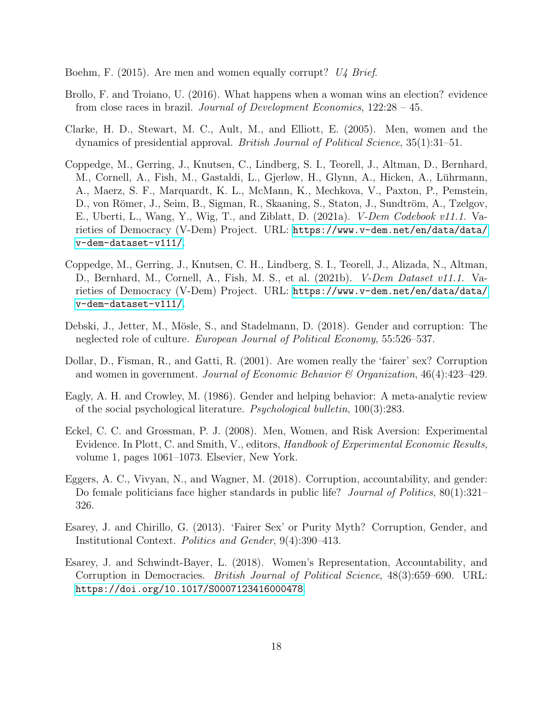- <span id="page-18-9"></span>Boehm, F. (2015). Are men and women equally corrupt? U4 Brief.
- <span id="page-18-11"></span>Brollo, F. and Troiano, U. (2016). What happens when a woman wins an election? evidence from close races in brazil. Journal of Development Economics, 122:28 – 45.
- <span id="page-18-3"></span>Clarke, H. D., Stewart, M. C., Ault, M., and Elliott, E. (2005). Men, women and the dynamics of presidential approval. British Journal of Political Science, 35(1):31–51.
- <span id="page-18-5"></span>Coppedge, M., Gerring, J., Knutsen, C., Lindberg, S. I., Teorell, J., Altman, D., Bernhard, M., Cornell, A., Fish, M., Gastaldi, L., Gjerløw, H., Glynn, A., Hicken, A., Lührmann, A., Maerz, S. F., Marquardt, K. L., McMann, K., Mechkova, V., Paxton, P., Pemstein, D., von Römer, J., Seim, B., Sigman, R., Skaaning, S., Staton, J., Sundtröm, A., Tzelgov, E., Uberti, L., Wang, Y., Wig, T., and Ziblatt, D. (2021a). V-Dem Codebook v11.1. Varieties of Democracy (V-Dem) Project. URL: [https://www.v-dem.net/en/data/data/](https://www.v-dem.net/en/data/data/v-dem-dataset-v111/) [v-dem-dataset-v111/](https://www.v-dem.net/en/data/data/v-dem-dataset-v111/).
- <span id="page-18-4"></span>Coppedge, M., Gerring, J., Knutsen, C. H., Lindberg, S. I., Teorell, J., Alizada, N., Altman, D., Bernhard, M., Cornell, A., Fish, M. S., et al. (2021b). V-Dem Dataset v11.1. Varieties of Democracy (V-Dem) Project. URL: [https://www.v-dem.net/en/data/data/](https://www.v-dem.net/en/data/data/v-dem-dataset-v111/) [v-dem-dataset-v111/](https://www.v-dem.net/en/data/data/v-dem-dataset-v111/).
- <span id="page-18-8"></span>Debski, J., Jetter, M., Mösle, S., and Stadelmann, D. (2018). Gender and corruption: The neglected role of culture. European Journal of Political Economy, 55:526–537.
- <span id="page-18-0"></span>Dollar, D., Fisman, R., and Gatti, R. (2001). Are women really the 'fairer' sex? Corruption and women in government. Journal of Economic Behavior  $\mathcal C$  Organization, 46(4):423–429.
- <span id="page-18-2"></span>Eagly, A. H. and Crowley, M. (1986). Gender and helping behavior: A meta-analytic review of the social psychological literature. Psychological bulletin, 100(3):283.
- <span id="page-18-1"></span>Eckel, C. C. and Grossman, P. J. (2008). Men, Women, and Risk Aversion: Experimental Evidence. In Plott, C. and Smith, V., editors, *Handbook of Experimental Economic Results*, volume 1, pages 1061–1073. Elsevier, New York.
- <span id="page-18-10"></span>Eggers, A. C., Vivyan, N., and Wagner, M. (2018). Corruption, accountability, and gender: Do female politicians face higher standards in public life? *Journal of Politics*, 80(1):321– 326.
- <span id="page-18-6"></span>Esarey, J. and Chirillo, G. (2013). 'Fairer Sex' or Purity Myth? Corruption, Gender, and Institutional Context. Politics and Gender, 9(4):390–413.
- <span id="page-18-7"></span>Esarey, J. and Schwindt-Bayer, L. (2018). Women's Representation, Accountability, and Corruption in Democracies. British Journal of Political Science, 48(3):659–690. URL: <https://doi.org/10.1017/S0007123416000478>.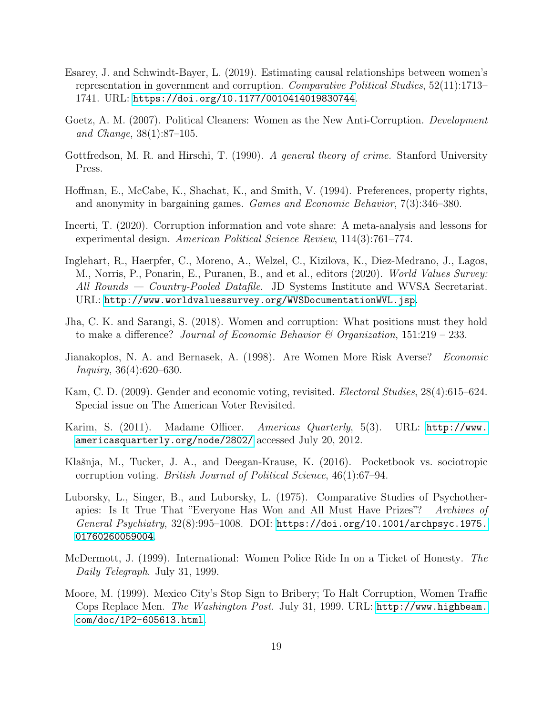- <span id="page-19-10"></span>Esarey, J. and Schwindt-Bayer, L. (2019). Estimating causal relationships between women's representation in government and corruption. Comparative Political Studies, 52(11):1713– 1741. URL: <https://doi.org/10.1177/0010414019830744>.
- <span id="page-19-8"></span>Goetz, A. M. (2007). Political Cleaners: Women as the New Anti-Corruption. Development and Change, 38(1):87–105.
- <span id="page-19-2"></span>Gottfredson, M. R. and Hirschi, T. (1990). A general theory of crime. Stanford University Press.
- <span id="page-19-1"></span>Hoffman, E., McCabe, K., Shachat, K., and Smith, V. (1994). Preferences, property rights, and anonymity in bargaining games. Games and Economic Behavior, 7(3):346–380.
- <span id="page-19-12"></span>Incerti, T. (2020). Corruption information and vote share: A meta-analysis and lessons for experimental design. American Political Science Review, 114(3):761–774.
- <span id="page-19-0"></span>Inglehart, R., Haerpfer, C., Moreno, A., Welzel, C., Kizilova, K., Diez-Medrano, J., Lagos, M., Norris, P., Ponarin, E., Puranen, B., and et al., editors (2020). World Values Survey: All Rounds — Country-Pooled Datafile. JD Systems Institute and WVSA Secretariat. URL: <http://www.worldvaluessurvey.org/WVSDocumentationWVL.jsp>.
- <span id="page-19-9"></span>Jha, C. K. and Sarangi, S. (2018). Women and corruption: What positions must they hold to make a difference? Journal of Economic Behavior  $\mathscr$  Organization, 151:219 – 233.
- <span id="page-19-7"></span>Jianakoplos, N. A. and Bernasek, A. (1998). Are Women More Risk Averse? Economic Inquiry, 36(4):620–630.
- <span id="page-19-3"></span>Kam, C. D. (2009). Gender and economic voting, revisited. Electoral Studies, 28(4):615–624. Special issue on The American Voter Revisited.
- <span id="page-19-6"></span>Karim, S. (2011). Madame Officer. Americas Quarterly, 5(3). URL: [http://www.](http://www.americasquarterly.org/node/2802/) [americasquarterly.org/node/2802/](http://www.americasquarterly.org/node/2802/) accessed July 20, 2012.
- <span id="page-19-13"></span>Klašnja, M., Tucker, J. A., and Deegan-Krause, K. (2016). Pocketbook vs. sociotropic corruption voting. British Journal of Political Science, 46(1):67–94.
- <span id="page-19-11"></span>Luborsky, L., Singer, B., and Luborsky, L. (1975). Comparative Studies of Psychotherapies: Is It True That "Everyone Has Won and All Must Have Prizes"? Archives of General Psychiatry,  $32(8):995-1008$ . DOI: [https://doi.org/10.1001/archpsyc.1975.](https://doi.org/10.1001/archpsyc.1975.01760260059004) [01760260059004](https://doi.org/10.1001/archpsyc.1975.01760260059004).
- <span id="page-19-5"></span>McDermott, J. (1999). International: Women Police Ride In on a Ticket of Honesty. The Daily Telegraph. July 31, 1999.
- <span id="page-19-4"></span>Moore, M. (1999). Mexico City's Stop Sign to Bribery; To Halt Corruption, Women Traffic Cops Replace Men. The Washington Post. July 31, 1999. URL: [http://www.highbeam.](http://www.highbeam.com/doc/1P2-605613.html) [com/doc/1P2-605613.html](http://www.highbeam.com/doc/1P2-605613.html).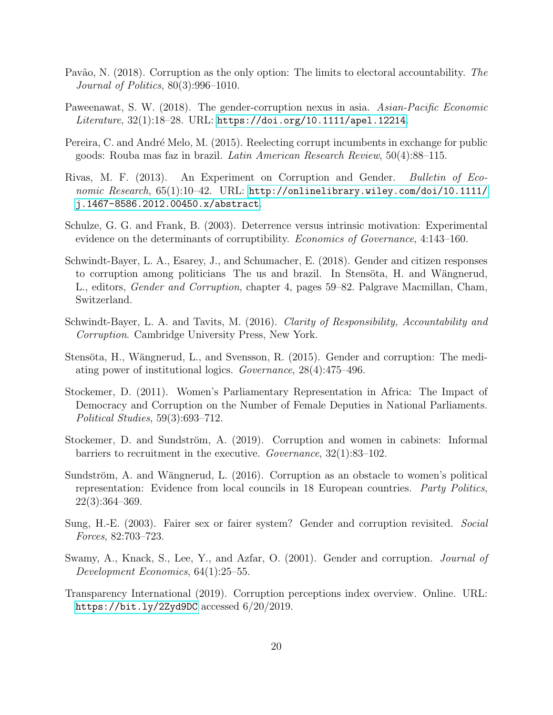- <span id="page-20-13"></span>Pavão, N. (2018). Corruption as the only option: The limits to electoral accountability. The Journal of Politics, 80(3):996–1010.
- <span id="page-20-9"></span>Paweenawat, S. W. (2018). The gender-corruption nexus in asia. Asian-Pacific Economic Literature, 32(1):18-28. URL: <https://doi.org/10.1111/apel.12214>.
- <span id="page-20-12"></span>Pereira, C. and André Melo, M. (2015). Reelecting corrupt incumbents in exchange for public goods: Rouba mas faz in brazil. Latin American Research Review, 50(4):88–115.
- <span id="page-20-4"></span>Rivas, M. F. (2013). An Experiment on Corruption and Gender. Bulletin of Economic Research, 65(1):10-42. URL: [http://onlinelibrary.wiley.com/doi/10.1111/](http://onlinelibrary.wiley.com/doi/10.1111/j.1467-8586.2012.00450.x/abstract) [j.1467-8586.2012.00450.x/abstract](http://onlinelibrary.wiley.com/doi/10.1111/j.1467-8586.2012.00450.x/abstract).
- <span id="page-20-3"></span>Schulze, G. G. and Frank, B. (2003). Deterrence versus intrinsic motivation: Experimental evidence on the determinants of corruptibility. Economics of Governance, 4:143–160.
- <span id="page-20-10"></span>Schwindt-Bayer, L. A., Esarey, J., and Schumacher, E. (2018). Gender and citizen responses to corruption among politicians The us and brazil. In Stensöta, H. and Wängnerud, L., editors, Gender and Corruption, chapter 4, pages 59–82. Palgrave Macmillan, Cham, Switzerland.
- <span id="page-20-5"></span>Schwindt-Bayer, L. A. and Tavits, M. (2016). Clarity of Responsibility, Accountability and Corruption. Cambridge University Press, New York.
- <span id="page-20-11"></span>Stensöta, H., Wängnerud, L., and Svensson, R. (2015). Gender and corruption: The mediating power of institutional logics. Governance, 28(4):475–496.
- <span id="page-20-7"></span>Stockemer, D. (2011). Women's Parliamentary Representation in Africa: The Impact of Democracy and Corruption on the Number of Female Deputies in National Parliaments. Political Studies, 59(3):693–712.
- <span id="page-20-6"></span>Stockemer, D. and Sundström, A. (2019). Corruption and women in cabinets: Informal barriers to recruitment in the executive. Governance, 32(1):83–102.
- <span id="page-20-8"></span>Sundström, A. and Wängnerud, L. (2016). Corruption as an obstacle to women's political representation: Evidence from local councils in 18 European countries. Party Politics, 22(3):364–369.
- <span id="page-20-2"></span>Sung, H.-E. (2003). Fairer sex or fairer system? Gender and corruption revisited. Social Forces, 82:703–723.
- <span id="page-20-1"></span>Swamy, A., Knack, S., Lee, Y., and Azfar, O. (2001). Gender and corruption. *Journal of* Development Economics, 64(1):25–55.
- <span id="page-20-0"></span>Transparency International (2019). Corruption perceptions index overview. Online. URL: <https://bit.ly/2Zyd9DC> accessed 6/20/2019.